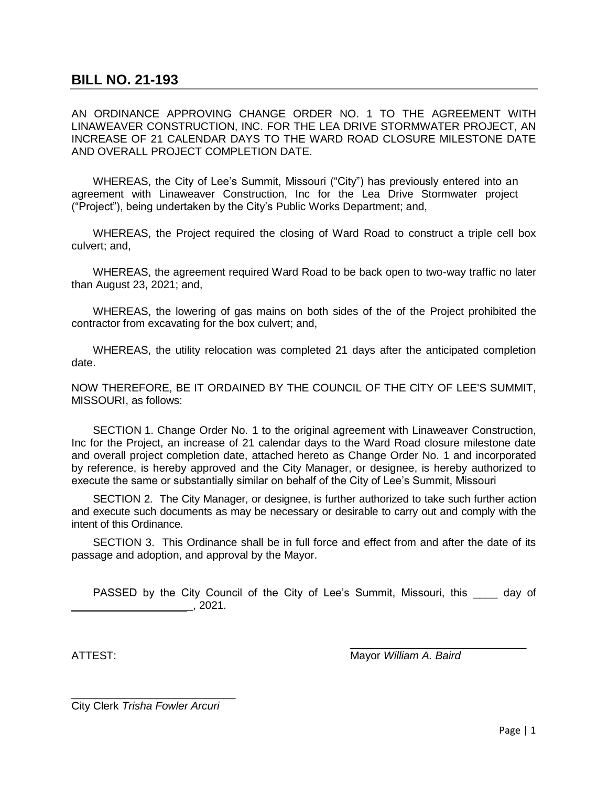## **BILL NO. 21-193**

AN ORDINANCE APPROVING CHANGE ORDER NO. 1 TO THE AGREEMENT WITH LINAWEAVER CONSTRUCTION, INC. FOR THE LEA DRIVE STORMWATER PROJECT, AN INCREASE OF 21 CALENDAR DAYS TO THE WARD ROAD CLOSURE MILESTONE DATE AND OVERALL PROJECT COMPLETION DATE.

WHEREAS, the City of Lee's Summit, Missouri ("City") has previously entered into an agreement with Linaweaver Construction, Inc for the Lea Drive Stormwater project ("Project"), being undertaken by the City's Public Works Department; and,

WHEREAS, the Project required the closing of Ward Road to construct a triple cell box culvert; and,

WHEREAS, the agreement required Ward Road to be back open to two-way traffic no later than August 23, 2021; and,

WHEREAS, the lowering of gas mains on both sides of the of the Project prohibited the contractor from excavating for the box culvert; and,

WHEREAS, the utility relocation was completed 21 days after the anticipated completion date.

NOW THEREFORE, BE IT ORDAINED BY THE COUNCIL OF THE ClTY OF LEE'S SUMMIT, MISSOURI, as follows:

SECTION 1. Change Order No. 1 to the original agreement with Linaweaver Construction, Inc for the Project, an increase of 21 calendar days to the Ward Road closure milestone date and overall project completion date, attached hereto as Change Order No. 1 and incorporated by reference, is hereby approved and the City Manager, or designee, is hereby authorized to execute the same or substantially similar on behalf of the City of Lee's Summit, Missouri

SECTION 2. The City Manager, or designee, is further authorized to take such further action and execute such documents as may be necessary or desirable to carry out and comply with the intent of this Ordinance.

SECTION 3. This Ordinance shall be in full force and effect from and after the date of its passage and adoption, and approval by the Mayor.

PASSED by the City Council of the City of Lee's Summit, Missouri, this \_\_\_\_ day of  $\overline{\phantom{1}}$ , 2021.

\_\_\_\_\_\_\_\_\_\_\_\_\_\_\_\_\_\_\_\_\_\_\_\_\_\_\_\_\_ ATTEST: Mayor *William A. Baird*

\_\_\_\_\_\_\_\_\_\_\_\_\_\_\_\_\_\_\_\_\_\_\_\_\_\_\_ City Clerk *Trisha Fowler Arcuri*